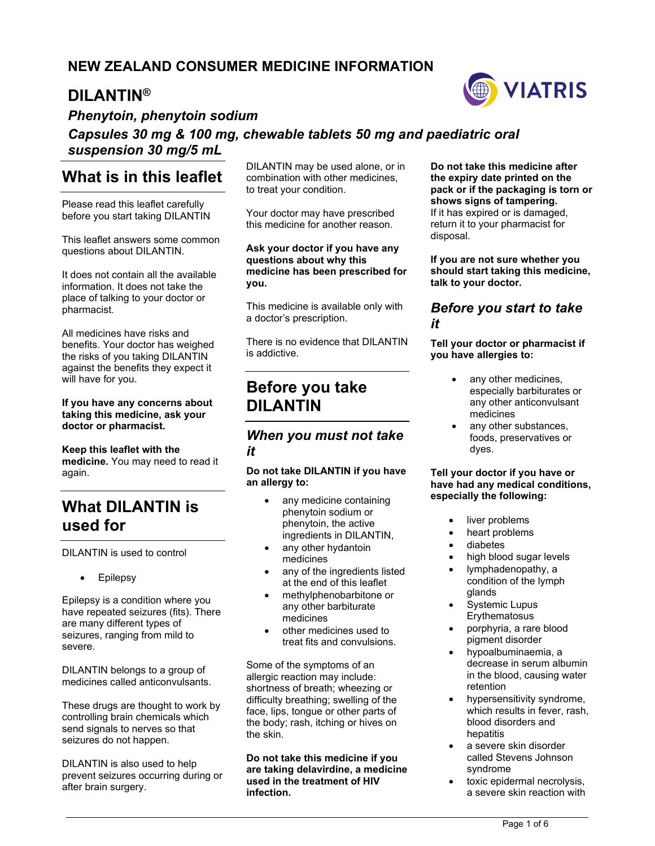## **NEW ZEALAND CONSUMER MEDICINE INFORMATION**

## **DILANTIN®**



*Phenytoin, phenytoin sodium* 

## *Capsules 30 mg & 100 mg, chewable tablets 50 mg and paediatric oral suspension 30 mg/5 mL*

## **What is in this leaflet**

Please read this leaflet carefully before you start taking DILANTIN

This leaflet answers some common questions about DILANTIN.

It does not contain all the available information. It does not take the place of talking to your doctor or pharmacist.

All medicines have risks and benefits. Your doctor has weighed the risks of you taking DILANTIN against the benefits they expect it will have for you.

**If you have any concerns about taking this medicine, ask your doctor or pharmacist.** 

**Keep this leaflet with the medicine.** You may need to read it again.

# **What DILANTIN is used for**

DILANTIN is used to control

• Epilepsy

Epilepsy is a condition where you have repeated seizures (fits). There are many different types of seizures, ranging from mild to severe.

DILANTIN belongs to a group of medicines called anticonvulsants.

These drugs are thought to work by controlling brain chemicals which send signals to nerves so that seizures do not happen.

DILANTIN is also used to help prevent seizures occurring during or after brain surgery.

DILANTIN may be used alone, or in combination with other medicines, to treat your condition.

Your doctor may have prescribed this medicine for another reason.

#### **Ask your doctor if you have any questions about why this medicine has been prescribed for you.**

This medicine is available only with a doctor's prescription.

There is no evidence that DILANTIN is addictive.

# **Before you take DILANTIN**

## *When you must not take it*

#### **Do not take DILANTIN if you have an allergy to:**

- any medicine containing phenytoin sodium or phenytoin, the active ingredients in DILANTIN,
- any other hydantoin medicines
- any of the ingredients listed at the end of this leaflet
- methylphenobarbitone or any other barbiturate medicines
- other medicines used to treat fits and convulsions.

Some of the symptoms of an allergic reaction may include: shortness of breath; wheezing or difficulty breathing; swelling of the face, lips, tongue or other parts of the body; rash, itching or hives on the skin.

**Do not take this medicine if you are taking delavirdine, a medicine used in the treatment of HIV infection.** 

**Do not take this medicine after the expiry date printed on the pack or if the packaging is torn or shows signs of tampering.** If it has expired or is damaged, return it to your pharmacist for disposal.

**If you are not sure whether you should start taking this medicine, talk to your doctor.** 

## *Before you start to take it*

**Tell your doctor or pharmacist if you have allergies to:** 

- any other medicines, especially barbiturates or any other anticonvulsant medicines
- any other substances, foods, preservatives or dyes.

#### **Tell your doctor if you have or have had any medical conditions, especially the following:**

- liver problems
- heart problems
- diabetes
- high blood sugar levels
- lymphadenopathy, a condition of the lymph glands
- Systemic Lupus **Erythematosus**
- porphyria, a rare blood pigment disorder
- hypoalbuminaemia, a decrease in serum albumin in the blood, causing water retention
- hypersensitivity syndrome, which results in fever, rash, blood disorders and hepatitis
- a severe skin disorder called Stevens Johnson syndrome
- toxic epidermal necrolysis, a severe skin reaction with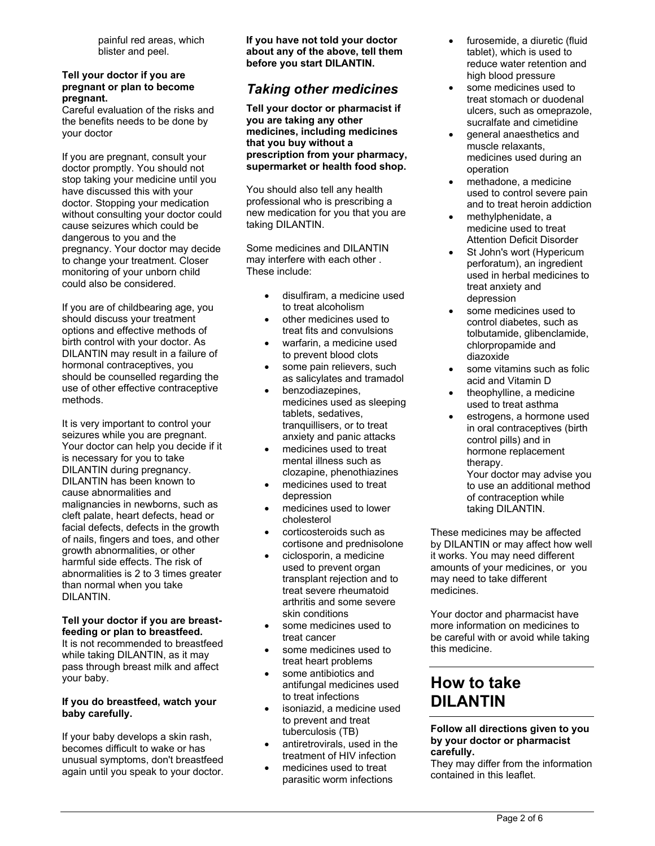painful red areas, which blister and peel.

#### **Tell your doctor if you are pregnant or plan to become pregnant.**

Careful evaluation of the risks and the benefits needs to be done by your doctor

If you are pregnant, consult your doctor promptly. You should not stop taking your medicine until you have discussed this with your doctor. Stopping your medication without consulting your doctor could cause seizures which could be dangerous to you and the pregnancy. Your doctor may decide to change your treatment. Closer monitoring of your unborn child could also be considered.

If you are of childbearing age, you should discuss your treatment options and effective methods of birth control with your doctor. As DILANTIN may result in a failure of hormonal contraceptives, you should be counselled regarding the use of other effective contraceptive methods.

It is very important to control your seizures while you are pregnant. Your doctor can help you decide if it is necessary for you to take DILANTIN during pregnancy. DILANTIN has been known to cause abnormalities and malignancies in newborns, such as cleft palate, heart defects, head or facial defects, defects in the growth of nails, fingers and toes, and other growth abnormalities, or other harmful side effects. The risk of abnormalities is 2 to 3 times greater than normal when you take DILANTIN.

#### **Tell your doctor if you are breastfeeding or plan to breastfeed.**

It is not recommended to breastfeed while taking DILANTIN, as it may pass through breast milk and affect your baby.

#### **If you do breastfeed, watch your baby carefully.**

If your baby develops a skin rash, becomes difficult to wake or has unusual symptoms, don't breastfeed again until you speak to your doctor. **If you have not told your doctor about any of the above, tell them before you start DILANTIN.** 

## *Taking other medicines*

**Tell your doctor or pharmacist if you are taking any other medicines, including medicines that you buy without a prescription from your pharmacy, supermarket or health food shop.**

You should also tell any health professional who is prescribing a new medication for you that you are taking DILANTIN.

Some medicines and DILANTIN may interfere with each other . These include:

- disulfiram, a medicine used to treat alcoholism
- other medicines used to treat fits and convulsions
- warfarin, a medicine used to prevent blood clots
- some pain relievers, such as salicylates and tramadol
- benzodiazepines, medicines used as sleeping tablets, sedatives, tranquillisers, or to treat anxiety and panic attacks
- medicines used to treat mental illness such as clozapine, phenothiazines
- medicines used to treat depression
- medicines used to lower cholesterol
- corticosteroids such as cortisone and prednisolone
- ciclosporin, a medicine used to prevent organ transplant rejection and to treat severe rheumatoid arthritis and some severe skin conditions
- some medicines used to treat cancer
- some medicines used to treat heart problems
- some antibiotics and antifungal medicines used to treat infections
- isoniazid, a medicine used to prevent and treat tuberculosis (TB)
- antiretrovirals, used in the treatment of HIV infection
- medicines used to treat parasitic worm infections
- furosemide, a diuretic (fluid tablet), which is used to reduce water retention and high blood pressure
- some medicines used to treat stomach or duodenal ulcers, such as omeprazole, sucralfate and cimetidine
- **•** general anaesthetics and muscle relaxants, medicines used during an operation
- methadone, a medicine used to control severe pain and to treat heroin addiction
- methylphenidate, a medicine used to treat Attention Deficit Disorder
- St John's wort (Hypericum perforatum), an ingredient used in herbal medicines to treat anxiety and depression
- some medicines used to control diabetes, such as tolbutamide, glibenclamide, chlorpropamide and diazoxide
- some vitamins such as folic acid and Vitamin D
- theophylline, a medicine used to treat asthma
- estrogens, a hormone used in oral contraceptives (birth control pills) and in hormone replacement therapy.

Your doctor may advise you to use an additional method of contraception while taking DILANTIN.

These medicines may be affected by DILANTIN or may affect how well it works. You may need different amounts of your medicines, or you may need to take different medicines.

Your doctor and pharmacist have more information on medicines to be careful with or avoid while taking this medicine.

# **How to take DILANTIN**

#### **Follow all directions given to you by your doctor or pharmacist carefully.**

They may differ from the information contained in this leaflet.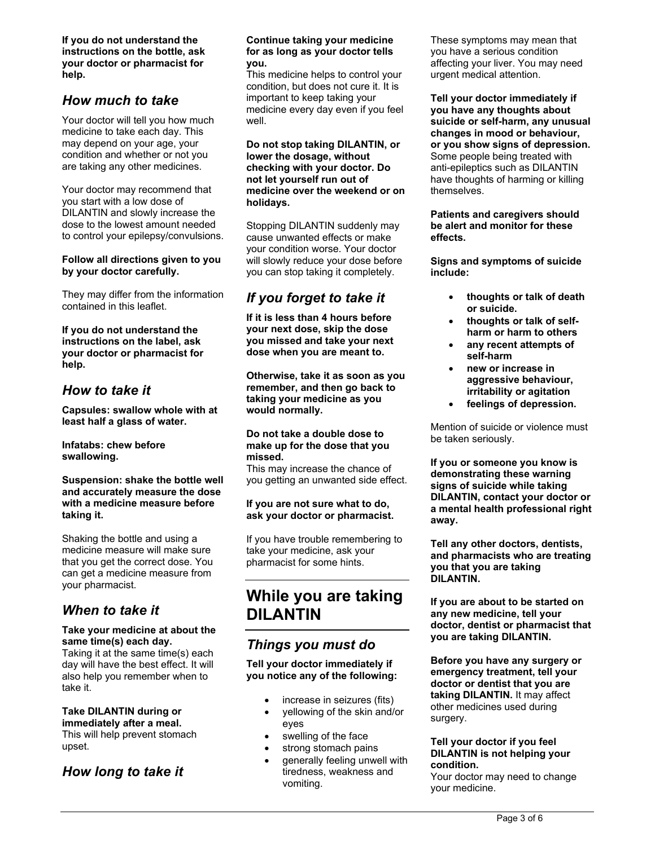**If you do not understand the instructions on the bottle, ask your doctor or pharmacist for help.** 

## *How much to take*

Your doctor will tell you how much medicine to take each day. This may depend on your age, your condition and whether or not you are taking any other medicines.

Your doctor may recommend that you start with a low dose of DILANTIN and slowly increase the dose to the lowest amount needed to control your epilepsy/convulsions.

#### **Follow all directions given to you by your doctor carefully.**

They may differ from the information contained in this leaflet.

**If you do not understand the instructions on the label, ask your doctor or pharmacist for help.** 

### *How to take it*

**Capsules: swallow whole with at least half a glass of water.** 

**Infatabs: chew before swallowing.** 

#### **Suspension: shake the bottle well and accurately measure the dose with a medicine measure before taking it.**

Shaking the bottle and using a medicine measure will make sure that you get the correct dose. You can get a medicine measure from your pharmacist.

## *When to take it*

#### **Take your medicine at about the same time(s) each day.**

Taking it at the same time(s) each day will have the best effect. It will also help you remember when to take it.

### **Take DILANTIN during or immediately after a meal.**

This will help prevent stomach upset.

### *How long to take it*

#### **Continue taking your medicine for as long as your doctor tells you.**

This medicine helps to control your condition, but does not cure it. It is important to keep taking your medicine every day even if you feel well.

#### **Do not stop taking DILANTIN, or lower the dosage, without checking with your doctor. Do not let yourself run out of medicine over the weekend or on holidays.**

Stopping DILANTIN suddenly may cause unwanted effects or make your condition worse. Your doctor will slowly reduce your dose before you can stop taking it completely.

## *If you forget to take it*

**If it is less than 4 hours before your next dose, skip the dose you missed and take your next dose when you are meant to.** 

**Otherwise, take it as soon as you remember, and then go back to taking your medicine as you would normally.** 

#### **Do not take a double dose to make up for the dose that you missed.**

This may increase the chance of you getting an unwanted side effect.

#### **If you are not sure what to do, ask your doctor or pharmacist.**

If you have trouble remembering to take your medicine, ask your pharmacist for some hints.

# **While you are taking DILANTIN**

## *Things you must do*

**Tell your doctor immediately if you notice any of the following:** 

- increase in seizures (fits)
- yellowing of the skin and/or eyes
- swelling of the face
- strong stomach pains
- generally feeling unwell with tiredness, weakness and vomiting.

These symptoms may mean that you have a serious condition affecting your liver. You may need urgent medical attention.

**Tell your doctor immediately if you have any thoughts about suicide or self-harm, any unusual changes in mood or behaviour, or you show signs of depression.**  Some people being treated with anti-epileptics such as DILANTIN have thoughts of harming or killing themselves.

#### **Patients and caregivers should be alert and monitor for these effects.**

**Signs and symptoms of suicide include:** 

- **thoughts or talk of death or suicide.**
- **thoughts or talk of selfharm or harm to others**
- **any recent attempts of self-harm**
- **new or increase in aggressive behaviour, irritability or agitation**
- **feelings of depression.**

Mention of suicide or violence must be taken seriously.

**If you or someone you know is demonstrating these warning signs of suicide while taking DILANTIN, contact your doctor or a mental health professional right away.** 

**Tell any other doctors, dentists, and pharmacists who are treating you that you are taking DILANTIN.** 

**If you are about to be started on any new medicine, tell your doctor, dentist or pharmacist that you are taking DILANTIN.** 

**Before you have any surgery or emergency treatment, tell your doctor or dentist that you are taking DILANTIN.** It may affect other medicines used during surgery.

#### **Tell your doctor if you feel DILANTIN is not helping your condition.**

Your doctor may need to change your medicine.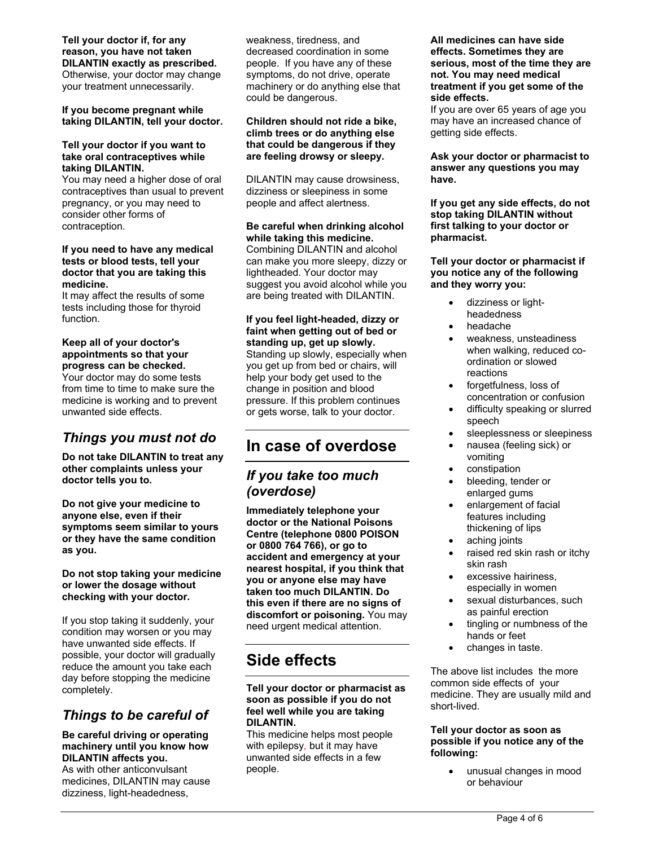### **Tell your doctor if, for any reason, you have not taken DILANTIN exactly as prescribed.**

Otherwise, your doctor may change your treatment unnecessarily.

#### **If you become pregnant while taking DILANTIN, tell your doctor.**

#### **Tell your doctor if you want to take oral contraceptives while taking DILANTIN.**

You may need a higher dose of oral contraceptives than usual to prevent pregnancy, or you may need to consider other forms of contraception.

#### **If you need to have any medical tests or blood tests, tell your doctor that you are taking this medicine.**

It may affect the results of some tests including those for thyroid function.

#### **Keep all of your doctor's appointments so that your progress can be checked.**

Your doctor may do some tests from time to time to make sure the medicine is working and to prevent unwanted side effects.

## *Things you must not do*

**Do not take DILANTIN to treat any other complaints unless your doctor tells you to.** 

**Do not give your medicine to anyone else, even if their symptoms seem similar to yours or they have the same condition as you.** 

#### **Do not stop taking your medicine or lower the dosage without checking with your doctor.**

If you stop taking it suddenly, your condition may worsen or you may have unwanted side effects. If possible, your doctor will gradually reduce the amount you take each day before stopping the medicine completely.

## *Things to be careful of*

#### **Be careful driving or operating machinery until you know how DILANTIN affects you.**

As with other anticonvulsant medicines, DILANTIN may cause dizziness, light-headedness,

weakness, tiredness, and decreased coordination in some people. If you have any of these symptoms, do not drive, operate machinery or do anything else that could be dangerous.

#### **Children should not ride a bike, climb trees or do anything else that could be dangerous if they are feeling drowsy or sleepy.**

DILANTIN may cause drowsiness, dizziness or sleepiness in some people and affect alertness.

#### **Be careful when drinking alcohol while taking this medicine.**  Combining DILANTIN and alcohol can make you more sleepy, dizzy or lightheaded. Your doctor may suggest you avoid alcohol while you

are being treated with DILANTIN.

**If you feel light-headed, dizzy or faint when getting out of bed or standing up, get up slowly.** Standing up slowly, especially when you get up from bed or chairs, will help your body get used to the change in position and blood pressure. If this problem continues or gets worse, talk to your doctor.

# **In case of overdose**

## *If you take too much (overdose)*

**Immediately telephone your doctor or the National Poisons Centre (telephone 0800 POISON or 0800 764 766), or go to accident and emergency at your nearest hospital, if you think that you or anyone else may have taken too much DILANTIN. Do this even if there are no signs of discomfort or poisoning.** You may need urgent medical attention.

# **Side effects**

#### **Tell your doctor or pharmacist as soon as possible if you do not feel well while you are taking DILANTIN.**

This medicine helps most people with epilepsy*,* but it may have unwanted side effects in a few people.

#### **All medicines can have side effects. Sometimes they are serious, most of the time they are not. You may need medical treatment if you get some of the side effects.**

If you are over 65 years of age you may have an increased chance of getting side effects.

**Ask your doctor or pharmacist to answer any questions you may have.** 

**If you get any side effects, do not stop taking DILANTIN without first talking to your doctor or pharmacist.** 

#### **Tell your doctor or pharmacist if you notice any of the following and they worry you:**

- dizziness or lightheadedness
- headache
- weakness, unsteadiness when walking, reduced coordination or slowed reactions
- forgetfulness, loss of concentration or confusion
- difficulty speaking or slurred speech
- sleeplessness or sleepiness
- nausea (feeling sick) or vomiting
- constipation
- bleeding, tender or enlarged gums
- enlargement of facial features including thickening of lips
- aching joints
- raised red skin rash or itchy skin rash
- excessive hairiness, especially in women
- sexual disturbances, such as painful erection
- tingling or numbness of the hands or feet
- changes in taste.

The above list includes the more common side effects of your medicine. They are usually mild and short-lived.

#### **Tell your doctor as soon as possible if you notice any of the following:**

 unusual changes in mood or behaviour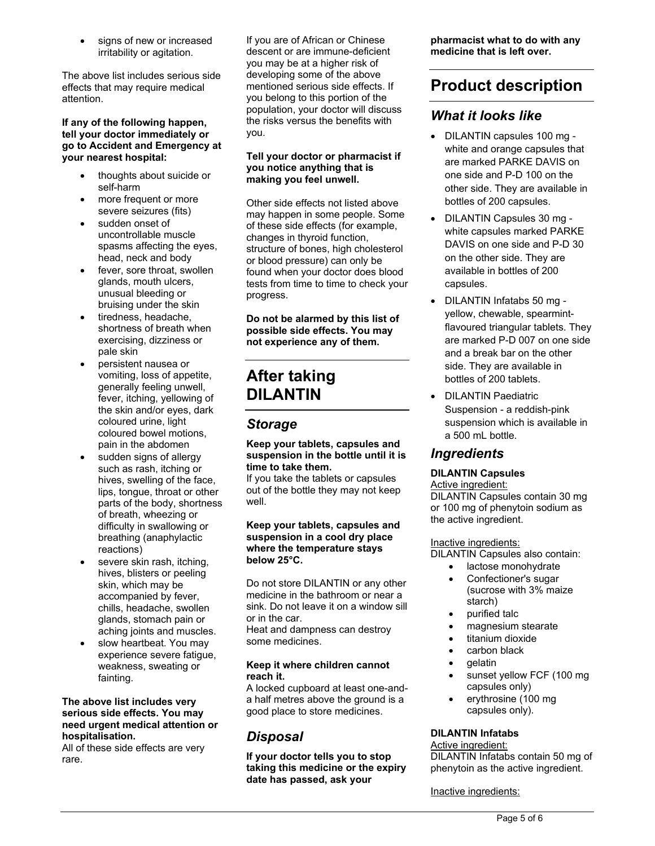signs of new or increased irritability or agitation.

The above list includes serious side effects that may require medical attention.

#### **If any of the following happen, tell your doctor immediately or go to Accident and Emergency at your nearest hospital:**

- thoughts about suicide or self-harm
- more frequent or more severe seizures (fits)
- sudden onset of uncontrollable muscle spasms affecting the eyes, head, neck and body
- fever, sore throat, swollen glands, mouth ulcers, unusual bleeding or bruising under the skin
- tiredness, headache, shortness of breath when exercising, dizziness or pale skin
- persistent nausea or vomiting, loss of appetite, generally feeling unwell, fever, itching, yellowing of the skin and/or eyes, dark coloured urine, light coloured bowel motions, pain in the abdomen
- sudden signs of allergy such as rash, itching or hives, swelling of the face, lips, tongue, throat or other parts of the body, shortness of breath, wheezing or difficulty in swallowing or breathing (anaphylactic reactions)
- severe skin rash, itching, hives, blisters or peeling skin, which may be accompanied by fever, chills, headache, swollen glands, stomach pain or aching joints and muscles.
- slow heartbeat. You may experience severe fatigue, weakness, sweating or fainting.

#### **The above list includes very serious side effects. You may need urgent medical attention or hospitalisation.**

All of these side effects are very rare.

If you are of African or Chinese descent or are immune-deficient you may be at a higher risk of developing some of the above mentioned serious side effects. If you belong to this portion of the population, your doctor will discuss the risks versus the benefits with you.

#### **Tell your doctor or pharmacist if you notice anything that is making you feel unwell.**

Other side effects not listed above may happen in some people. Some of these side effects (for example, changes in thyroid function, structure of bones, high cholesterol or blood pressure) can only be found when your doctor does blood tests from time to time to check your progress.

**Do not be alarmed by this list of possible side effects. You may not experience any of them.** 

# **After taking DILANTIN**

## *Storage*

#### **Keep your tablets, capsules and suspension in the bottle until it is time to take them.**

If you take the tablets or capsules out of the bottle they may not keep well.

#### **Keep your tablets, capsules and suspension in a cool dry place where the temperature stays below 25°C.**

Do not store DILANTIN or any other medicine in the bathroom or near a sink. Do not leave it on a window sill or in the car.

Heat and dampness can destroy some medicines.

#### **Keep it where children cannot reach it.**

A locked cupboard at least one-anda half metres above the ground is a good place to store medicines.

## *Disposal*

**If your doctor tells you to stop taking this medicine or the expiry date has passed, ask your** 

**pharmacist what to do with any medicine that is left over.** 

# **Product description**

## *What it looks like*

- DILANTIN capsules 100 mg white and orange capsules that are marked PARKE DAVIS on one side and P-D 100 on the other side. They are available in bottles of 200 capsules.
- DILANTIN Capsules 30 mg white capsules marked PARKE DAVIS on one side and P-D 30 on the other side. They are available in bottles of 200 capsules.
- DILANTIN Infatabs 50 mg yellow, chewable, spearmintflavoured triangular tablets. They are marked P-D 007 on one side and a break bar on the other side. They are available in bottles of 200 tablets.
- **DILANTIN Paediatric** Suspension - a reddish-pink suspension which is available in a 500 mL bottle.

## *Ingredients*

### **DILANTIN Capsules**

### Active ingredient:

DILANTIN Capsules contain 30 mg or 100 mg of phenytoin sodium as the active ingredient.

### Inactive ingredients:

DILANTIN Capsules also contain:

- lactose monohydrate
- Confectioner's sugar (sucrose with 3% maize starch)
- purified talc
- magnesium stearate
- titanium dioxide
- carbon black
- $\bullet$  gelatin
- sunset yellow FCF (100 mg capsules only)
- erythrosine (100 mg capsules only).

### **DILANTIN Infatabs**

### Active ingredient:

DILANTIN Infatabs contain 50 mg of phenytoin as the active ingredient.

Inactive ingredients: